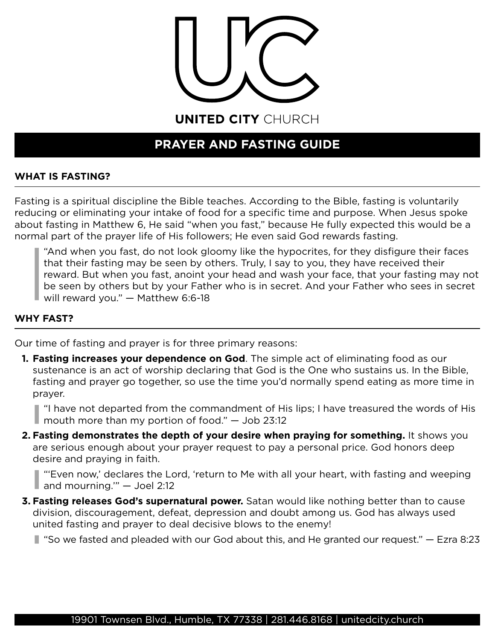

UNITED CITY CHURCH

# **PRAYER AND FASTING GUIDE**

# **WHAT IS FASTING?**

Fasting is a spiritual discipline the Bible teaches. According to the Bible, fasting is voluntarily reducing or eliminating your intake of food for a specific time and purpose. When Jesus spoke about fasting in Matthew 6, He said "when you fast," because He fully expected this would be a normal part of the prayer life of His followers; He even said God rewards fasting.

"And when you fast, do not look gloomy like the hypocrites, for they disfigure their faces that their fasting may be seen by others. Truly, I say to you, they have received their reward. But when you fast, anoint your head and wash your face, that your fasting may not be seen by others but by your Father who is in secret. And your Father who sees in secret will reward you." — Matthew 6:6-18

## **WHY FAST?**

Our time of fasting and prayer is for three primary reasons:

**1. Fasting increases your dependence on God**. The simple act of eliminating food as our sustenance is an act of worship declaring that God is the One who sustains us. In the Bible, fasting and prayer go together, so use the time you'd normally spend eating as more time in prayer.

"I have not departed from the commandment of His lips; I have treasured the words of His  $\blacksquare$  mouth more than my portion of food."  $-$  Job 23:12

**2. Fasting demonstrates the depth of your desire when praying for something.** It shows you are serious enough about your prayer request to pay a personal price. God honors deep desire and praying in faith.

"'Even now,' declares the Lord, 'return to Me with all your heart, with fasting and weeping and mourning.'" — Joel 2:12

**3. Fasting releases God's supernatural power.** Satan would like nothing better than to cause division, discouragement, defeat, depression and doubt among us. God has always used united fasting and prayer to deal decisive blows to the enemy!

 $\blacksquare$  "So we fasted and pleaded with our God about this, and He granted our request."  $-$  Ezra 8:23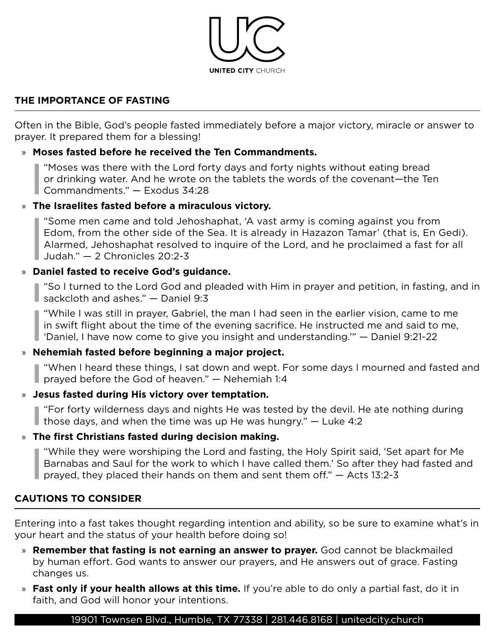

## **THE IMPORTANCE OF FASTING**

Often in the Bible, God's people fasted immediately before a major victory, miracle or answer to prayer. It prepared them for a blessing!

## » **Moses fasted before he received the Ten Commandments.**

"Moses was there with the Lord forty days and forty nights without eating bread or drinking water. And he wrote on the tablets the words of the covenant—the Ten Commandments." — Exodus 34:28

#### » **The Israelites fasted before a miraculous victory.**

"Some men came and told Jehoshaphat, 'A vast army is coming against you from Edom, from the other side of the Sea. It is already in Hazazon Tamar' (that is, En Gedi). Alarmed, Jehoshaphat resolved to inquire of the Lord, and he proclaimed a fast for all Judah." — 2 Chronicles 20:2-3

# » **Daniel fasted to receive God's guidance.**

"So I turned to the Lord God and pleaded with Him in prayer and petition, in fasting, and in sackcloth and ashes." — Daniel 9:3

"While I was still in prayer, Gabriel, the man I had seen in the earlier vision, came to me in swift flight about the time of the evening sacrifice. He instructed me and said to me, 'Daniel, I have now come to give you insight and understanding.'" — Daniel 9:21-22

# » **Nehemiah fasted before beginning a major project.**

"When I heard these things, I sat down and wept. For some days I mourned and fasted and prayed before the God of heaven."  $-$  Nehemiah 1:4

# » **Jesus fasted during His victory over temptation.**

"For forty wilderness days and nights He was tested by the devil. He ate nothing during I those days, and when the time was up He was hungry."  $-$  Luke 4:2

# » **The first Christians fasted during decision making.**

"While they were worshiping the Lord and fasting, the Holy Spirit said, 'Set apart for Me Barnabas and Saul for the work to which I have called them.' So after they had fasted and prayed, they placed their hands on them and sent them off." — Acts 13:2-3

# **CAUTIONS TO CONSIDER**

Entering into a fast takes thought regarding intention and ability, so be sure to examine what's in your heart and the status of your health before doing so!

- » **Remember that fasting is not earning an answer to prayer.** God cannot be blackmailed by human effort. God wants to answer our prayers, and He answers out of grace. Fasting changes us.
- » **Fast only if your health allows at this time.** If you're able to do only a partial fast, do it in faith, and God will honor your intentions.

#### [19901 Townsen Blvd., Humble, TX 77338](https://www.google.com/maps/place/United+City+Church/@30.0067121,-95.2563921,17z/data=!3m1!4b1!4m5!3m4!1s0x8640b25f23e986d9:0x996056e19e73b5b1!8m2!3d30.0064717!4d-95.2542647) | [281.446.8168](tel:2814468168) | [unitedcity.church](https://unitedcity.church/)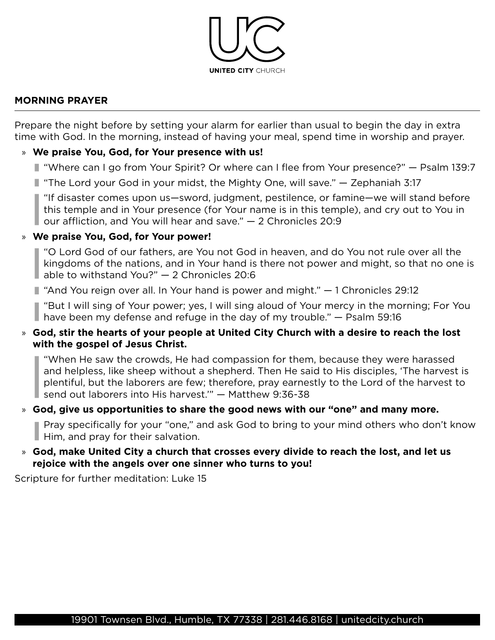

#### **MORNING PRAYER**

Prepare the night before by setting your alarm for earlier than usual to begin the day in extra time with God. In the morning, instead of having your meal, spend time in worship and prayer.

## » **We praise You, God, for Your presence with us!**

- "Where can I go from Your Spirit? Or where can I flee from Your presence?" Psalm 139:7
- "The Lord your God in your midst, the Mighty One, will save." Zephaniah 3:17

"If disaster comes upon us—sword, judgment, pestilence, or famine—we will stand before this temple and in Your presence (for Your name is in this temple), and cry out to You in our affliction, and You will hear and save." — 2 Chronicles 20:9

#### » **We praise You, God, for Your power!**

"O Lord God of our fathers, are You not God in heaven, and do You not rule over all the kingdoms of the nations, and in Your hand is there not power and might, so that no one is able to withstand You?"  $-$  2 Chronicles 20:6

■ "And You reign over all. In Your hand is power and might." – 1 Chronicles 29:12

"But I will sing of Your power; yes, I will sing aloud of Your mercy in the morning; For You I have been my defense and refuge in the day of my trouble."  $-$  Psalm 59:16

#### » **God, stir the hearts of your people at United City Church with a desire to reach the lost with the gospel of Jesus Christ.**

"When He saw the crowds, He had compassion for them, because they were harassed and helpless, like sheep without a shepherd. Then He said to His disciples, 'The harvest is plentiful, but the laborers are few; therefore, pray earnestly to the Lord of the harvest to send out laborers into His harvest.'" — Matthew 9:36-38

# » **God, give us opportunities to share the good news with our "one" and many more.**

Pray specifically for your "one," and ask God to bring to your mind others who don't know Him, and pray for their salvation.

#### » **God, make United City a church that crosses every divide to reach the lost, and let us rejoice with the angels over one sinner who turns to you!**

Scripture for further meditation: Luke 15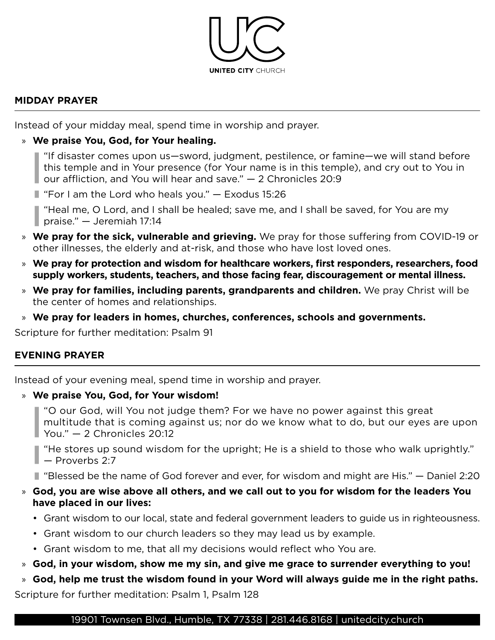

#### **MIDDAY PRAYER**

Instead of your midday meal, spend time in worship and prayer.

# » **We praise You, God, for Your healing.**

"If disaster comes upon us—sword, judgment, pestilence, or famine—we will stand before this temple and in Your presence (for Your name is in this temple), and cry out to You in our affliction, and You will hear and save." — 2 Chronicles 20:9

 $\blacksquare$  "For I am the Lord who heals you."  $-$  Exodus 15:26

"Heal me, O Lord, and I shall be healed; save me, and I shall be saved, for You are my praise." — Jeremiah 17:14

- » **We pray for the sick, vulnerable and grieving.** We pray for those suffering from COVID-19 or other illnesses, the elderly and at-risk, and those who have lost loved ones.
- » **We pray for protection and wisdom for healthcare workers, first responders, researchers, food supply workers, students, teachers, and those facing fear, discouragement or mental illness.**
- » **We pray for families, including parents, grandparents and children.** We pray Christ will be the center of homes and relationships.
- » **We pray for leaders in homes, churches, conferences, schools and governments.**

Scripture for further meditation: Psalm 91

# **EVENING PRAYER**

Instead of your evening meal, spend time in worship and prayer.

# » **We praise You, God, for Your wisdom!**

"O our God, will You not judge them? For we have no power against this great multitude that is coming against us; nor do we know what to do, but our eyes are upon You." — 2 Chronicles 20:12

"He stores up sound wisdom for the upright; He is a shield to those who walk uprightly."  $\vert$   $\vert$   $\vert$   $\vert$  Proverbs 2:7

"Blessed be the name of God forever and ever, for wisdom and might are His." — Daniel 2:20

# » **God, you are wise above all others, and we call out to you for wisdom for the leaders You have placed in our lives:**

- Grant wisdom to our local, state and federal government leaders to guide us in righteousness.
- Grant wisdom to our church leaders so they may lead us by example.
- Grant wisdom to me, that all my decisions would reflect who You are.

» **God, in your wisdom, show me my sin, and give me grace to surrender everything to you!** 

» **God, help me trust the wisdom found in your Word will always guide me in the right paths.** 

Scripture for further meditation: Psalm 1, Psalm 128

#### [19901 Townsen Blvd., Humble, TX 77338](https://www.google.com/maps/place/United+City+Church/@30.0067121,-95.2563921,17z/data=!3m1!4b1!4m5!3m4!1s0x8640b25f23e986d9:0x996056e19e73b5b1!8m2!3d30.0064717!4d-95.2542647) | [281.446.8168](tel:2814468168) | [unitedcity.church](https://unitedcity.church/)